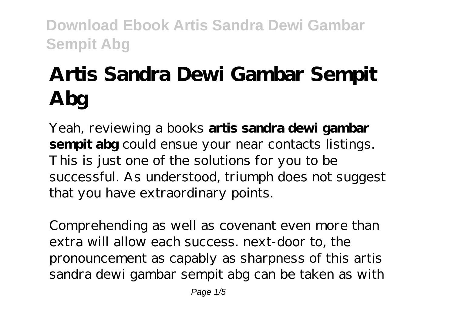# **Artis Sandra Dewi Gambar Sempit Abg**

Yeah, reviewing a books **artis sandra dewi gambar sempit abg** could ensue your near contacts listings. This is just one of the solutions for you to be successful. As understood, triumph does not suggest that you have extraordinary points.

Comprehending as well as covenant even more than extra will allow each success. next-door to, the pronouncement as capably as sharpness of this artis sandra dewi gambar sempit abg can be taken as with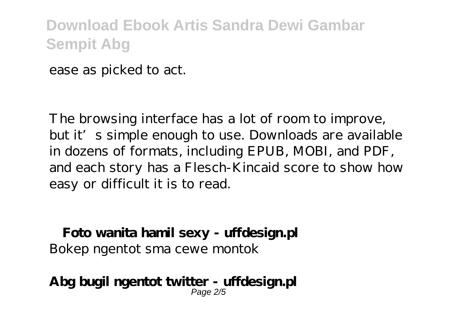ease as picked to act.

The browsing interface has a lot of room to improve, but it's simple enough to use. Downloads are available in dozens of formats, including EPUB, MOBI, and PDF, and each story has a Flesch-Kincaid score to show how easy or difficult it is to read.

**Foto wanita hamil sexy - uffdesign.pl** Bokep ngentot sma cewe montok

**Abg bugil ngentot twitter - uffdesign.pl** Page 2/5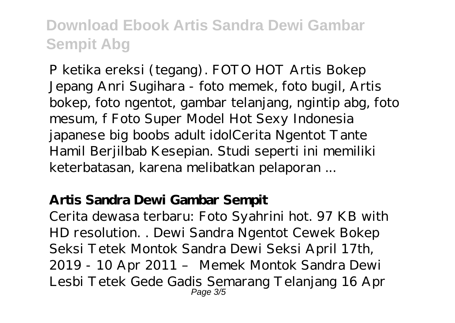P ketika ereksi (tegang). FOTO HOT Artis Bokep Jepang Anri Sugihara - foto memek, foto bugil, Artis bokep, foto ngentot, gambar telanjang, ngintip abg, foto mesum, f Foto Super Model Hot Sexy Indonesia japanese big boobs adult idolCerita Ngentot Tante Hamil Berjilbab Kesepian. Studi seperti ini memiliki keterbatasan, karena melibatkan pelaporan ...

#### **Artis Sandra Dewi Gambar Sempit**

Cerita dewasa terbaru: Foto Syahrini hot. 97 KB with HD resolution. . Dewi Sandra Ngentot Cewek Bokep Seksi Tetek Montok Sandra Dewi Seksi April 17th, 2019 - 10 Apr 2011 – Memek Montok Sandra Dewi Lesbi Tetek Gede Gadis Semarang Telanjang 16 Apr Page 3/5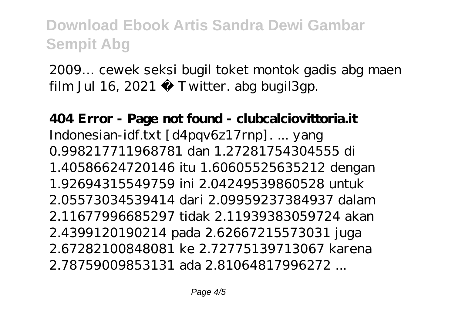2009… cewek seksi bugil toket montok gadis abg maen film Jul 16,  $2021 \cdot$  Twitter. abg bugil3gp.

**404 Error - Page not found - clubcalciovittoria.it** Indonesian-idf.txt [d4pqv6z17rnp]. ... yang 0.998217711968781 dan 1.27281754304555 di 1.40586624720146 itu 1.60605525635212 dengan 1.92694315549759 ini 2.04249539860528 untuk 2.05573034539414 dari 2.09959237384937 dalam 2.11677996685297 tidak 2.11939383059724 akan 2.4399120190214 pada 2.62667215573031 juga 2.67282100848081 ke 2.72775139713067 karena 2.78759009853131 ada 2.81064817996272 ...